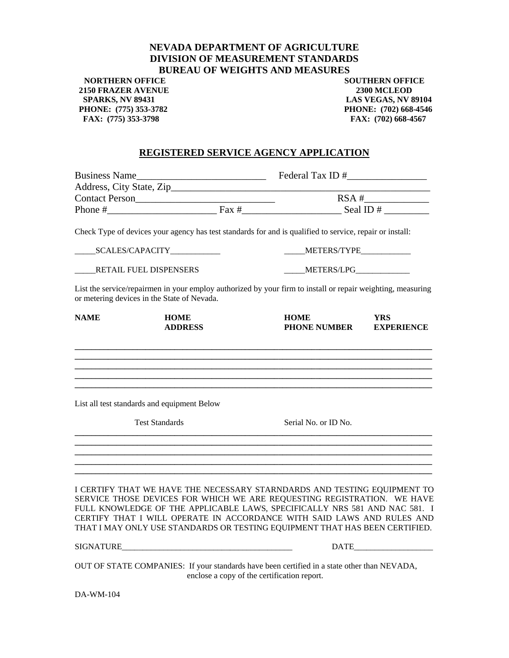## **NEVADA DEPARTMENT OF AGRICULTURE DIVISION OF MEASUREMENT STANDARDS BUREAU OF WEIGHTS AND MEASURES**

**NORTHERN OFFICE SOUTHERN OFFICE 2150 FRAZER AVENUE 2300 MCLEOD SPARKS, NV 89431 LAS VEGAS, NV 89104 PHONE: (775) 353-3782 PHONE: (702) 668-4546**  FAX: (775) 353-3798 **FAX:** (702) 668-4567

## **REGISTERED SERVICE AGENCY APPLICATION**

|                                             | Check Type of devices your agency has test standards for and is qualified to service, repair or install:                                                                                                                                                                                                                                                                                   |                                    |                                 |
|---------------------------------------------|--------------------------------------------------------------------------------------------------------------------------------------------------------------------------------------------------------------------------------------------------------------------------------------------------------------------------------------------------------------------------------------------|------------------------------------|---------------------------------|
|                                             |                                                                                                                                                                                                                                                                                                                                                                                            | METERS/TYPE                        |                                 |
| RETAIL FUEL DISPENSERS                      |                                                                                                                                                                                                                                                                                                                                                                                            | ______METERS/LPG______________     |                                 |
| or metering devices in the State of Nevada. | List the service/repairmen in your employ authorized by your firm to install or repair weighting, measuring                                                                                                                                                                                                                                                                                |                                    |                                 |
| <b>NAME</b>                                 | <b>HOME</b><br><b>ADDRESS</b>                                                                                                                                                                                                                                                                                                                                                              | <b>HOME</b><br><b>PHONE NUMBER</b> | <b>YRS</b><br><b>EXPERIENCE</b> |
|                                             | List all test standards and equipment Below                                                                                                                                                                                                                                                                                                                                                |                                    |                                 |
| <b>Test Standards</b>                       |                                                                                                                                                                                                                                                                                                                                                                                            | Serial No. or ID No.               |                                 |
|                                             |                                                                                                                                                                                                                                                                                                                                                                                            |                                    |                                 |
|                                             | I CERTIFY THAT WE HAVE THE NECESSARY STARNDARDS AND TESTING EQUIPMENT TO<br>SERVICE THOSE DEVICES FOR WHICH WE ARE REQUESTING REGISTRATION. WE HAVE<br>FULL KNOWLEDGE OF THE APPLICABLE LAWS, SPECIFICALLY NRS 581 AND NAC 581. I<br>CERTIFY THAT I WILL OPERATE IN ACCORDANCE WITH SAID LAWS AND RULES AND<br>THAT I MAY ONLY USE STANDARDS OR TESTING EQUIPMENT THAT HAS BEEN CERTIFIED. |                                    |                                 |
|                                             | <b>SIGNATURE</b>                                                                                                                                                                                                                                                                                                                                                                           |                                    | <b>DATE</b>                     |
|                                             | OUT OF STATE COMPANIES: If your standards have been certified in a state other than NEVADA,<br>enclose a copy of the certification report.                                                                                                                                                                                                                                                 |                                    |                                 |

DA-WM-104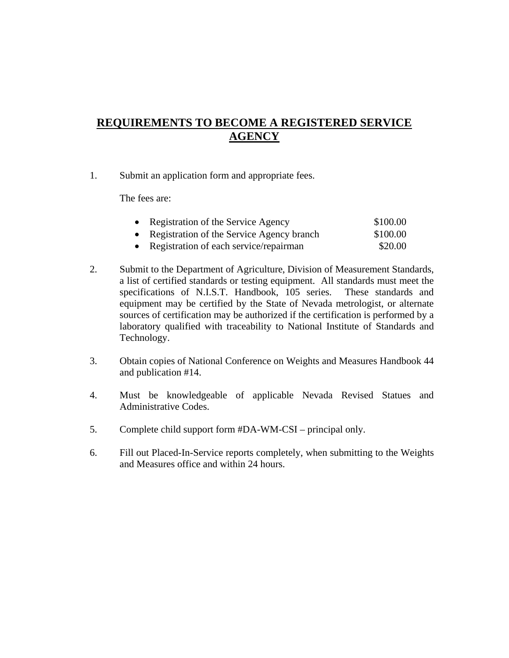## **REQUIREMENTS TO BECOME A REGISTERED SERVICE AGENCY**

1. Submit an application form and appropriate fees.

The fees are:

| • Registration of the Service Agency        | \$100.00 |
|---------------------------------------------|----------|
| • Registration of the Service Agency branch | \$100.00 |
| • Registration of each service/repairman    | \$20.00  |

- 2. Submit to the Department of Agriculture, Division of Measurement Standards, a list of certified standards or testing equipment. All standards must meet the specifications of N.I.S.T. Handbook, 105 series. These standards and equipment may be certified by the State of Nevada metrologist, or alternate sources of certification may be authorized if the certification is performed by a laboratory qualified with traceability to National Institute of Standards and Technology.
- 3. Obtain copies of National Conference on Weights and Measures Handbook 44 and publication #14.
- 4. Must be knowledgeable of applicable Nevada Revised Statues and Administrative Codes.
- 5. Complete child support form #DA-WM-CSI principal only.
- 6. Fill out Placed-In-Service reports completely, when submitting to the Weights and Measures office and within 24 hours.